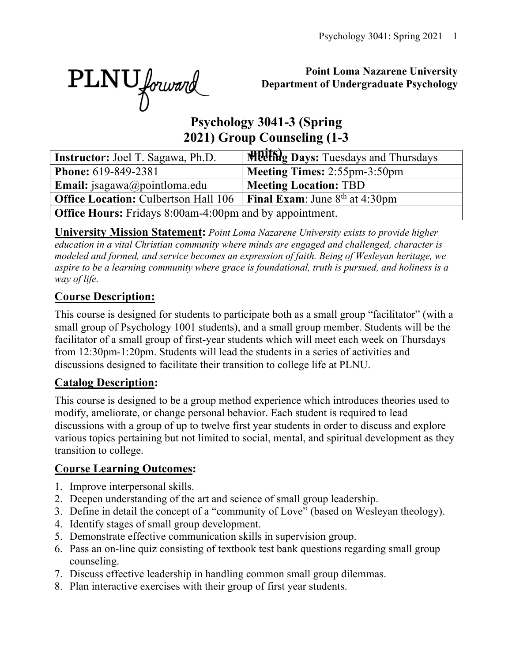PLNU forward

## **Point Loma Nazarene University Department of Undergraduate Psychology**

# **Psychology 3041-3 (Spring 2021) Group Counseling (1-3**

| <b>Instructor:</b> Joel T. Sagawa, Ph.D.                       | <b>Meeting Days:</b> Tuesdays and Thursdays |  |  |  |  |  |  |
|----------------------------------------------------------------|---------------------------------------------|--|--|--|--|--|--|
| Phone: 619-849-2381                                            | Meeting Times: 2:55pm-3:50pm                |  |  |  |  |  |  |
| <b>Email:</b> jsagawa@pointloma.edu                            | <b>Meeting Location: TBD</b>                |  |  |  |  |  |  |
| <b>Office Location: Culbertson Hall 106</b>                    | <b>Final Exam:</b> June $8^{th}$ at 4:30pm  |  |  |  |  |  |  |
| <b>Office Hours:</b> Fridays 8:00am-4:00pm and by appointment. |                                             |  |  |  |  |  |  |

**University Mission Statement:** *Point Loma Nazarene University exists to provide higher education in a vital Christian community where minds are engaged and challenged, character is modeled and formed, and service becomes an expression of faith. Being of Wesleyan heritage, we aspire to be a learning community where grace is foundational, truth is pursued, and holiness is a way of life.*

# **Course Description:**

This course is designed for students to participate both as a small group "facilitator" (with a small group of Psychology 1001 students), and a small group member. Students will be the facilitator of a small group of first-year students which will meet each week on Thursdays from 12:30pm-1:20pm. Students will lead the students in a series of activities and discussions designed to facilitate their transition to college life at PLNU.

## **Catalog Description:**

This course is designed to be a group method experience which introduces theories used to modify, ameliorate, or change personal behavior. Each student is required to lead discussions with a group of up to twelve first year students in order to discuss and explore various topics pertaining but not limited to social, mental, and spiritual development as they transition to college.

## **Course Learning Outcomes:**

- 1. Improve interpersonal skills.
- 2. Deepen understanding of the art and science of small group leadership.
- 3. Define in detail the concept of a "community of Love" (based on Wesleyan theology).
- 4. Identify stages of small group development.
- 5. Demonstrate effective communication skills in supervision group.
- 6. Pass an on-line quiz consisting of textbook test bank questions regarding small group counseling.
- 7. Discuss effective leadership in handling common small group dilemmas.
- 8. Plan interactive exercises with their group of first year students.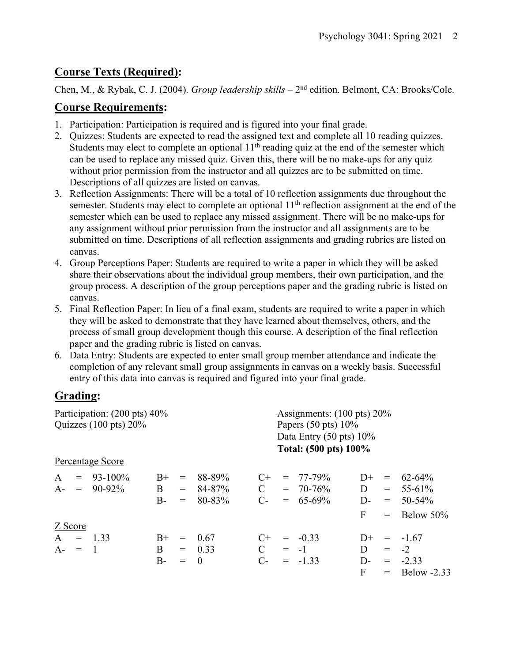# **Course Texts (Required):**

Chen, M., & Rybak, C. J. (2004). *Group leadership skills* – 2<sup>nd</sup> edition. Belmont, CA: Brooks/Cole.

## **Course Requirements:**

- 1. Participation: Participation is required and is figured into your final grade.
- 2. Quizzes: Students are expected to read the assigned text and complete all 10 reading quizzes. Students may elect to complete an optional  $11<sup>th</sup>$  reading quiz at the end of the semester which can be used to replace any missed quiz. Given this, there will be no make-ups for any quiz without prior permission from the instructor and all quizzes are to be submitted on time. Descriptions of all quizzes are listed on canvas.
- 3. Reflection Assignments: There will be a total of 10 reflection assignments due throughout the semester. Students may elect to complete an optional 11<sup>th</sup> reflection assignment at the end of the semester which can be used to replace any missed assignment. There will be no make-ups for any assignment without prior permission from the instructor and all assignments are to be submitted on time. Descriptions of all reflection assignments and grading rubrics are listed on canvas.
- 4. Group Perceptions Paper: Students are required to write a paper in which they will be asked share their observations about the individual group members, their own participation, and the group process. A description of the group perceptions paper and the grading rubric is listed on canvas.
- 5. Final Reflection Paper: In lieu of a final exam, students are required to write a paper in which they will be asked to demonstrate that they have learned about themselves, others, and the process of small group development though this course. A description of the final reflection paper and the grading rubric is listed on canvas.
- 6. Data Entry: Students are expected to enter small group member attendance and indicate the completion of any relevant small group assignments in canvas on a weekly basis. Successful entry of this data into canvas is required and figured into your final grade.

# **Grading:**

| Participation: (200 pts) 40%     |                  |       |     |          |                                    | Assignments: $(100 \text{ pts}) 20\%$ |               |       |         |                 |  |
|----------------------------------|------------------|-------|-----|----------|------------------------------------|---------------------------------------|---------------|-------|---------|-----------------|--|
| Quizzes $(100 \text{ pts}) 20\%$ |                  |       |     |          |                                    | Papers $(50 \text{ pts}) 10\%$        |               |       |         |                 |  |
|                                  |                  |       |     |          | Data Entry $(50 \text{ pts}) 10\%$ |                                       |               |       |         |                 |  |
|                                  |                  |       |     |          |                                    | Total: (500 pts) 100%                 |               |       |         |                 |  |
|                                  | Percentage Score |       |     |          |                                    |                                       |               |       |         |                 |  |
| $\mathbf{A}$                     | $= 93 - 100\%$   | $B+$  | $=$ | 88-89%   | $C+$                               |                                       | $= 77 - 79\%$ | $1+$  | $=$     | $62 - 64\%$     |  |
|                                  | $A - = 90-92\%$  | B     | $=$ | 84-87%   | $\mathcal{C}$                      |                                       | $= 70 - 76\%$ | D     |         | $= 55-61\%$     |  |
|                                  |                  | $B -$ | $=$ | 80-83%   | $C_{\tau}$                         |                                       | $= 65-69\%$   | D-    | $=$ $-$ | $50 - 54\%$     |  |
|                                  |                  |       |     |          |                                    |                                       |               | F     |         | $=$ Below 50%   |  |
| Z Score                          |                  |       |     |          |                                    |                                       |               |       |         |                 |  |
| $A = 1.33$                       |                  | $B+$  | $=$ | 0.67     | $C+$                               |                                       | $= -0.33$     | $D+$  |         | $= -1.67$       |  |
| $A - = 1$                        |                  | B     |     | $= 0.33$ | $\mathcal{C}$                      |                                       | $= -1$        | D     | $=$     | $-2$            |  |
|                                  |                  | B-    | $=$ | $\theta$ | $C$ -                              |                                       | $= -1.33$     | $D$ - |         | $= -2.33$       |  |
|                                  |                  |       |     |          |                                    |                                       |               | F.    |         | $=$ Below -2.33 |  |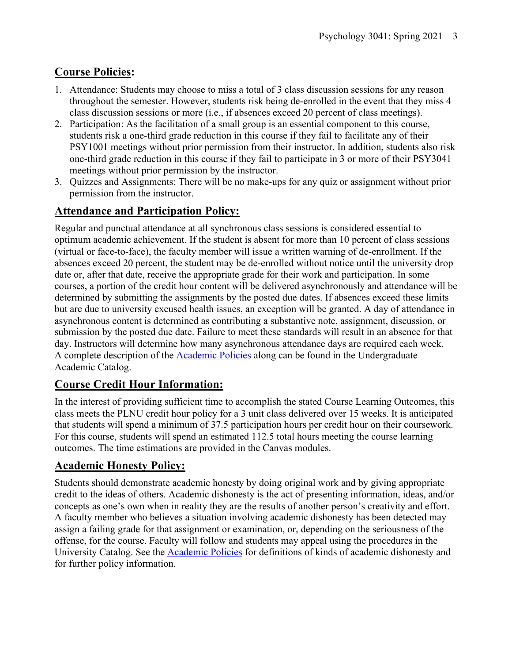# **Course Policies:**

- 1. Attendance: Students may choose to miss a total of 3 class discussion sessions for any reason throughout the semester. However, students risk being de-enrolled in the event that they miss 4 class discussion sessions or more (i.e., if absences exceed 20 percent of class meetings).
- 2. Participation: As the facilitation of a small group is an essential component to this course, students risk a one-third grade reduction in this course if they fail to facilitate any of their PSY1001 meetings without prior permission from their instructor. In addition, students also risk one-third grade reduction in this course if they fail to participate in 3 or more of their PSY3041 meetings without prior permission by the instructor.
- 3. Quizzes and Assignments: There will be no make-ups for any quiz or assignment without prior permission from the instructor.

# **Attendance and Participation Policy:**

Regular and punctual attendance at all synchronous class sessions is considered essential to optimum academic achievement. If the student is absent for more than 10 percent of class sessions (virtual or face-to-face), the faculty member will issue a written warning of de-enrollment. If the absences exceed 20 percent, the student may be de-enrolled without notice until the university drop date or, after that date, receive the appropriate grade for their work and participation. In some courses, a portion of the credit hour content will be delivered asynchronously and attendance will be determined by submitting the assignments by the posted due dates. If absences exceed these limits but are due to university excused health issues, an exception will be granted. A day of attendance in asynchronous content is determined as contributing a substantive note, assignment, discussion, or submission by the posted due date. Failure to meet these standards will result in an absence for that day. Instructors will determine how many asynchronous attendance days are required each week. A complete description of the Academic Policies along can be found in the Undergraduate Academic Catalog.

## **Course Credit Hour Information:**

In the interest of providing sufficient time to accomplish the stated Course Learning Outcomes, this class meets the PLNU credit hour policy for a 3 unit class delivered over 15 weeks. It is anticipated that students will spend a minimum of 37.5 participation hours per credit hour on their coursework. For this course, students will spend an estimated 112.5 total hours meeting the course learning outcomes. The time estimations are provided in the Canvas modules.

# **Academic Honesty Policy:**

Students should demonstrate academic honesty by doing original work and by giving appropriate credit to the ideas of others. Academic dishonesty is the act of presenting information, ideas, and/or concepts as one's own when in reality they are the results of another person's creativity and effort. A faculty member who believes a situation involving academic dishonesty has been detected may assign a failing grade for that assignment or examination, or, depending on the seriousness of the offense, for the course. Faculty will follow and students may appeal using the procedures in the University Catalog. See the Academic Policies for definitions of kinds of academic dishonesty and for further policy information.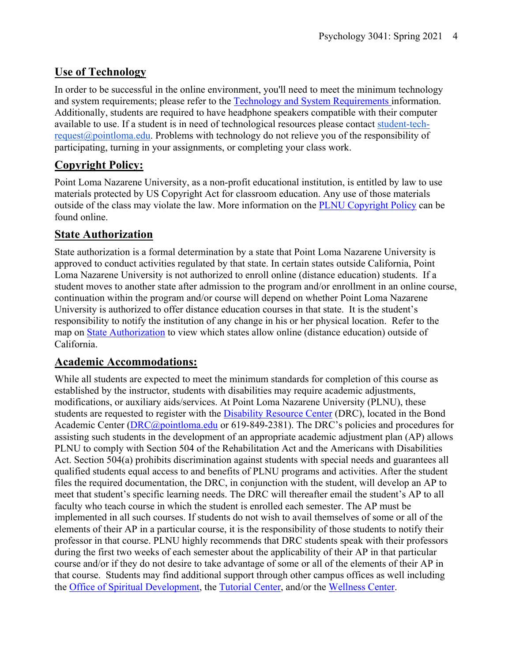# **Use of Technology**

In order to be successful in the online environment, you'll need to meet the minimum technology and system requirements; please refer to the Technology and System Requirements information. Additionally, students are required to have headphone speakers compatible with their computer available to use. If a student is in need of technological resources please contact student-techrequest@pointloma.edu. Problems with technology do not relieve you of the responsibility of participating, turning in your assignments, or completing your class work.

# **Copyright Policy:**

Point Loma Nazarene University, as a non-profit educational institution, is entitled by law to use materials protected by US Copyright Act for classroom education. Any use of those materials outside of the class may violate the law. More information on the PLNU Copyright Policy can be found online.

## **State Authorization**

State authorization is a formal determination by a state that Point Loma Nazarene University is approved to conduct activities regulated by that state. In certain states outside California, Point Loma Nazarene University is not authorized to enroll online (distance education) students. If a student moves to another state after admission to the program and/or enrollment in an online course, continuation within the program and/or course will depend on whether Point Loma Nazarene University is authorized to offer distance education courses in that state. It is the student's responsibility to notify the institution of any change in his or her physical location. Refer to the map on State Authorization to view which states allow online (distance education) outside of California.

## **Academic Accommodations:**

While all students are expected to meet the minimum standards for completion of this course as established by the instructor, students with disabilities may require academic adjustments, modifications, or auxiliary aids/services. At Point Loma Nazarene University (PLNU), these students are requested to register with the **Disability Resource Center** (DRC), located in the Bond Academic Center (DRC@pointloma.edu or 619-849-2381). The DRC's policies and procedures for assisting such students in the development of an appropriate academic adjustment plan (AP) allows PLNU to comply with Section 504 of the Rehabilitation Act and the Americans with Disabilities Act. Section 504(a) prohibits discrimination against students with special needs and guarantees all qualified students equal access to and benefits of PLNU programs and activities. After the student files the required documentation, the DRC, in conjunction with the student, will develop an AP to meet that student's specific learning needs. The DRC will thereafter email the student's AP to all faculty who teach course in which the student is enrolled each semester. The AP must be implemented in all such courses. If students do not wish to avail themselves of some or all of the elements of their AP in a particular course, it is the responsibility of those students to notify their professor in that course. PLNU highly recommends that DRC students speak with their professors during the first two weeks of each semester about the applicability of their AP in that particular course and/or if they do not desire to take advantage of some or all of the elements of their AP in that course. Students may find additional support through other campus offices as well including the Office of Spiritual Development, the Tutorial Center, and/or the Wellness Center.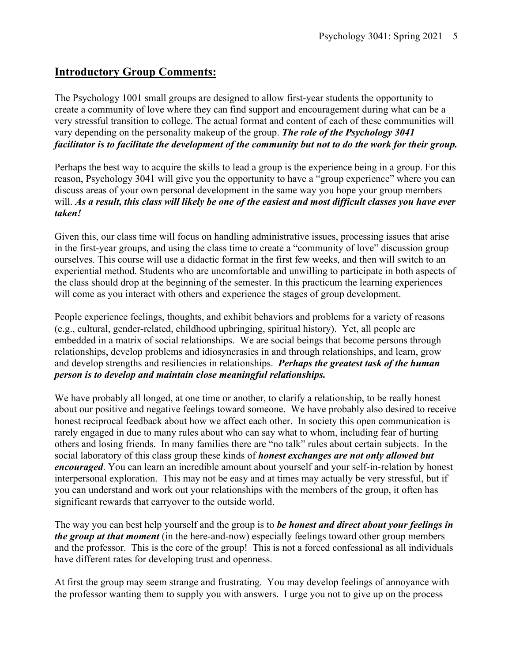## **Introductory Group Comments:**

The Psychology 1001 small groups are designed to allow first-year students the opportunity to create a community of love where they can find support and encouragement during what can be a very stressful transition to college. The actual format and content of each of these communities will vary depending on the personality makeup of the group. *The role of the Psychology 3041 facilitator is to facilitate the development of the community but not to do the work for their group.*

Perhaps the best way to acquire the skills to lead a group is the experience being in a group. For this reason, Psychology 3041 will give you the opportunity to have a "group experience" where you can discuss areas of your own personal development in the same way you hope your group members will. *As a result, this class will likely be one of the easiest and most difficult classes you have ever taken!*

Given this, our class time will focus on handling administrative issues, processing issues that arise in the first-year groups, and using the class time to create a "community of love" discussion group ourselves. This course will use a didactic format in the first few weeks, and then will switch to an experiential method. Students who are uncomfortable and unwilling to participate in both aspects of the class should drop at the beginning of the semester. In this practicum the learning experiences will come as you interact with others and experience the stages of group development.

People experience feelings, thoughts, and exhibit behaviors and problems for a variety of reasons (e.g., cultural, gender-related, childhood upbringing, spiritual history). Yet, all people are embedded in a matrix of social relationships. We are social beings that become persons through relationships, develop problems and idiosyncrasies in and through relationships, and learn, grow and develop strengths and resiliencies in relationships. *Perhaps the greatest task of the human person is to develop and maintain close meaningful relationships.*

We have probably all longed, at one time or another, to clarify a relationship, to be really honest about our positive and negative feelings toward someone. We have probably also desired to receive honest reciprocal feedback about how we affect each other. In society this open communication is rarely engaged in due to many rules about who can say what to whom, including fear of hurting others and losing friends. In many families there are "no talk" rules about certain subjects. In the social laboratory of this class group these kinds of *honest exchanges are not only allowed but encouraged*. You can learn an incredible amount about yourself and your self-in-relation by honest interpersonal exploration. This may not be easy and at times may actually be very stressful, but if you can understand and work out your relationships with the members of the group, it often has significant rewards that carryover to the outside world.

The way you can best help yourself and the group is to *be honest and direct about your feelings in the group at that moment* (in the here-and-now) especially feelings toward other group members and the professor. This is the core of the group! This is not a forced confessional as all individuals have different rates for developing trust and openness.

At first the group may seem strange and frustrating. You may develop feelings of annoyance with the professor wanting them to supply you with answers. I urge you not to give up on the process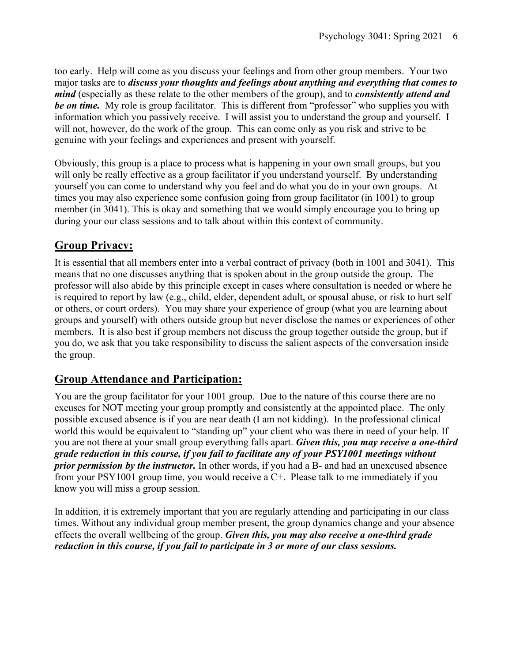too early. Help will come as you discuss your feelings and from other group members. Your two major tasks are to *discuss your thoughts and feelings about anything and everything that comes to mind* (especially as these relate to the other members of the group), and to *consistently attend and be on time.* My role is group facilitator. This is different from "professor" who supplies you with information which you passively receive. I will assist you to understand the group and yourself. I will not, however, do the work of the group. This can come only as you risk and strive to be genuine with your feelings and experiences and present with yourself.

Obviously, this group is a place to process what is happening in your own small groups, but you will only be really effective as a group facilitator if you understand yourself. By understanding yourself you can come to understand why you feel and do what you do in your own groups. At times you may also experience some confusion going from group facilitator (in 1001) to group member (in 3041). This is okay and something that we would simply encourage you to bring up during your our class sessions and to talk about within this context of community.

# **Group Privacy:**

It is essential that all members enter into a verbal contract of privacy (both in 1001 and 3041). This means that no one discusses anything that is spoken about in the group outside the group. The professor will also abide by this principle except in cases where consultation is needed or where he is required to report by law (e.g., child, elder, dependent adult, or spousal abuse, or risk to hurt self or others, or court orders). You may share your experience of group (what you are learning about groups and yourself) with others outside group but never disclose the names or experiences of other members. It is also best if group members not discuss the group together outside the group, but if you do, we ask that you take responsibility to discuss the salient aspects of the conversation inside the group.

## **Group Attendance and Participation:**

You are the group facilitator for your 1001 group. Due to the nature of this course there are no excuses for NOT meeting your group promptly and consistently at the appointed place. The only possible excused absence is if you are near death (I am not kidding). In the professional clinical world this would be equivalent to "standing up" your client who was there in need of your help. If you are not there at your small group everything falls apart. *Given this, you may receive a one-third grade reduction in this course, if you fail to facilitate any of your PSY1001 meetings without prior permission by the instructor.* In other words, if you had a B- and had an unexcused absence from your PSY1001 group time, you would receive a C+. Please talk to me immediately if you know you will miss a group session.

In addition, it is extremely important that you are regularly attending and participating in our class times. Without any individual group member present, the group dynamics change and your absence effects the overall wellbeing of the group. *Given this, you may also receive a one-third grade reduction in this course, if you fail to participate in 3 or more of our class sessions.*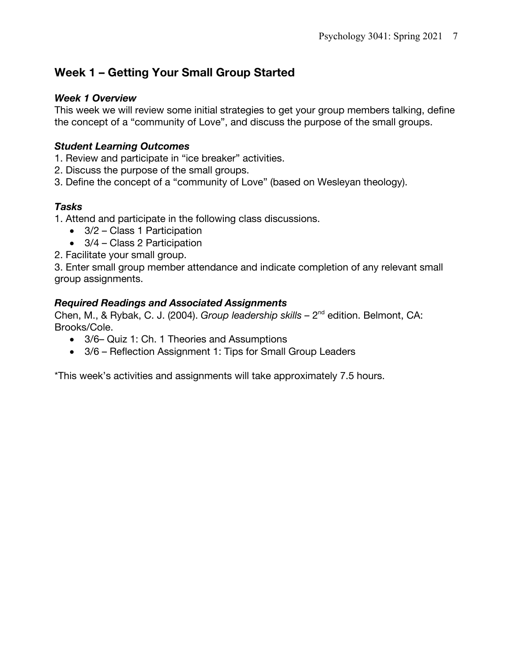# **Week 1 – Getting Your Small Group Started**

#### *Week 1 Overview*

This week we will review some initial strategies to get your group members talking, define the concept of a "community of Love", and discuss the purpose of the small groups.

## *Student Learning Outcomes*

- 1. Review and participate in "ice breaker" activities.
- 2. Discuss the purpose of the small groups.
- 3. Define the concept of a "community of Love" (based on Wesleyan theology).

## *Tasks*

1. Attend and participate in the following class discussions.

- 3/2 Class 1 Participation
- 3/4 Class 2 Participation
- 2. Facilitate your small group.

3. Enter small group member attendance and indicate completion of any relevant small group assignments.

#### *Required Readings and Associated Assignments*

Chen, M., & Rybak, C. J. (2004). *Group leadership skills –* 2nd edition. Belmont, CA: Brooks/Cole.

- 3/6– Quiz 1: Ch. 1 Theories and Assumptions
- 3/6 Reflection Assignment 1: Tips for Small Group Leaders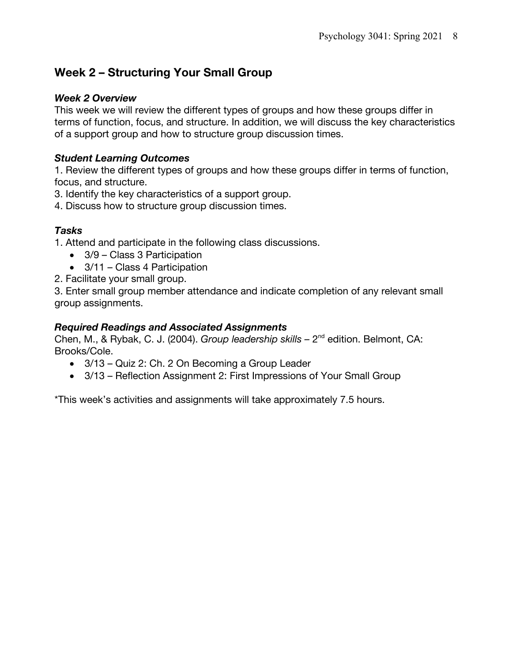# **Week 2 – Structuring Your Small Group**

#### *Week 2 Overview*

This week we will review the different types of groups and how these groups differ in terms of function, focus, and structure. In addition, we will discuss the key characteristics of a support group and how to structure group discussion times.

### *Student Learning Outcomes*

1. Review the different types of groups and how these groups differ in terms of function, focus, and structure.

3. Identify the key characteristics of a support group.

4. Discuss how to structure group discussion times.

## *Tasks*

1. Attend and participate in the following class discussions.

- 3/9 Class 3 Participation
- 3/11 Class 4 Participation
- 2. Facilitate your small group.

3. Enter small group member attendance and indicate completion of any relevant small group assignments.

#### *Required Readings and Associated Assignments*

Chen, M., & Rybak, C. J. (2004). *Group leadership skills –* 2nd edition. Belmont, CA: Brooks/Cole.

- 3/13 Quiz 2: Ch. 2 On Becoming a Group Leader
- 3/13 Reflection Assignment 2: First Impressions of Your Small Group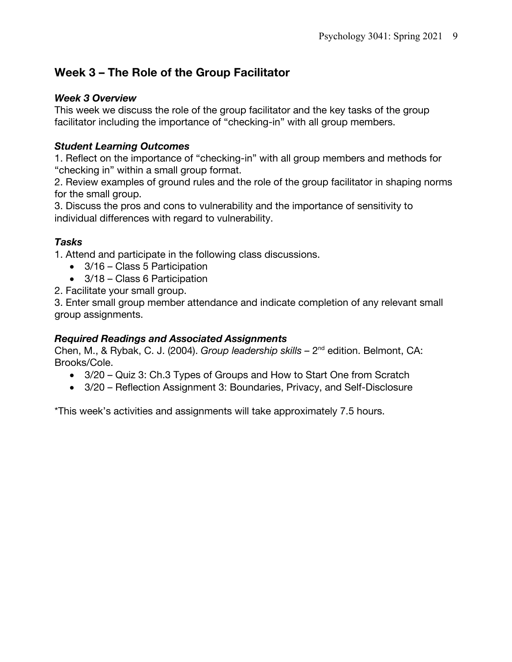# **Week 3 – The Role of the Group Facilitator**

#### *Week 3 Overview*

This week we discuss the role of the group facilitator and the key tasks of the group facilitator including the importance of "checking-in" with all group members.

## *Student Learning Outcomes*

1. Reflect on the importance of "checking-in" with all group members and methods for "checking in" within a small group format.

2. Review examples of ground rules and the role of the group facilitator in shaping norms for the small group.

3. Discuss the pros and cons to vulnerability and the importance of sensitivity to individual differences with regard to vulnerability.

## *Tasks*

1. Attend and participate in the following class discussions.

- 3/16 Class 5 Participation
- 3/18 Class 6 Participation
- 2. Facilitate your small group.

3. Enter small group member attendance and indicate completion of any relevant small group assignments.

#### *Required Readings and Associated Assignments*

Chen, M., & Rybak, C. J. (2004). *Group leadership skills –* 2nd edition. Belmont, CA: Brooks/Cole.

- 3/20 Quiz 3: Ch.3 Types of Groups and How to Start One from Scratch
- 3/20 Reflection Assignment 3: Boundaries, Privacy, and Self-Disclosure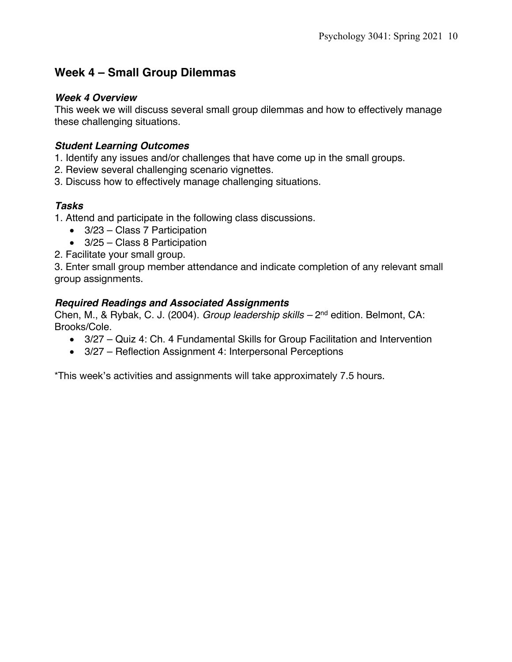# **Week 4 – Small Group Dilemmas**

#### *Week 4 Overview*

This week we will discuss several small group dilemmas and how to effectively manage these challenging situations.

### *Student Learning Outcomes*

- 1. Identify any issues and/or challenges that have come up in the small groups.
- 2. Review several challenging scenario vignettes.
- 3. Discuss how to effectively manage challenging situations.

## *Tasks*

- 1. Attend and participate in the following class discussions.
	- 3/23 Class 7 Participation
	- 3/25 Class 8 Participation
- 2. Facilitate your small group.

3. Enter small group member attendance and indicate completion of any relevant small group assignments.

#### *Required Readings and Associated Assignments*

Chen, M., & Rybak, C. J. (2004). *Group leadership skills –* 2nd edition. Belmont, CA: Brooks/Cole.

- 3/27 Quiz 4: Ch. 4 Fundamental Skills for Group Facilitation and Intervention
- 3/27 Reflection Assignment 4: Interpersonal Perceptions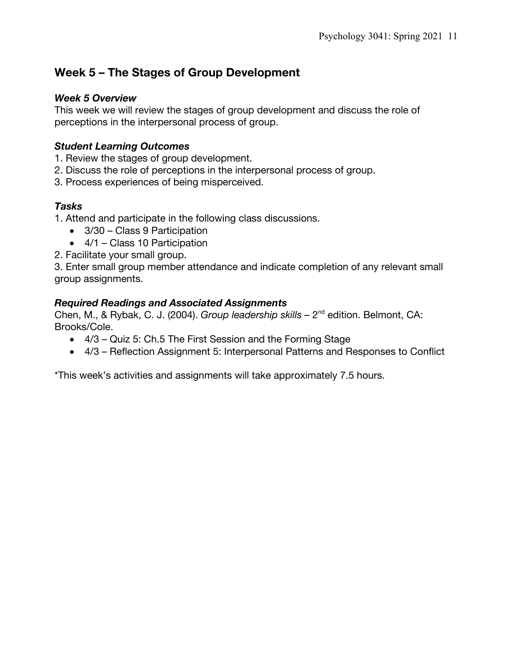# **Week 5 – The Stages of Group Development**

#### *Week 5 Overview*

This week we will review the stages of group development and discuss the role of perceptions in the interpersonal process of group.

### *Student Learning Outcomes*

- 1. Review the stages of group development.
- 2. Discuss the role of perceptions in the interpersonal process of group.
- 3. Process experiences of being misperceived.

## *Tasks*

1. Attend and participate in the following class discussions.

- 3/30 Class 9 Participation
- 4/1 Class 10 Participation
- 2. Facilitate your small group.

3. Enter small group member attendance and indicate completion of any relevant small group assignments.

#### *Required Readings and Associated Assignments*

Chen, M., & Rybak, C. J. (2004). *Group leadership skills –* 2nd edition. Belmont, CA: Brooks/Cole.

- 4/3 Quiz 5: Ch.5 The First Session and the Forming Stage
- 4/3 Reflection Assignment 5: Interpersonal Patterns and Responses to Conflict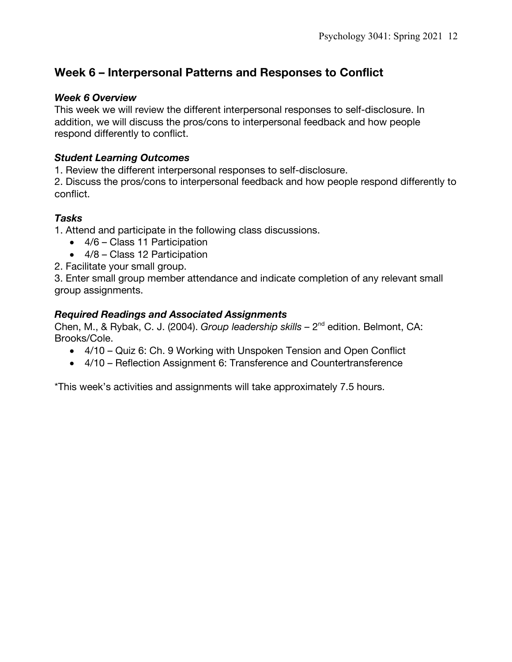# **Week 6 – Interpersonal Patterns and Responses to Conflict**

#### *Week 6 Overview*

This week we will review the different interpersonal responses to self-disclosure. In addition, we will discuss the pros/cons to interpersonal feedback and how people respond differently to conflict.

#### *Student Learning Outcomes*

1. Review the different interpersonal responses to self-disclosure.

2. Discuss the pros/cons to interpersonal feedback and how people respond differently to conflict.

#### *Tasks*

1. Attend and participate in the following class discussions.

- 4/6 Class 11 Participation
- 4/8 Class 12 Participation

2. Facilitate your small group.

3. Enter small group member attendance and indicate completion of any relevant small group assignments.

#### *Required Readings and Associated Assignments*

Chen, M., & Rybak, C. J. (2004). *Group leadership skills –* 2nd edition. Belmont, CA: Brooks/Cole.

- 4/10 Quiz 6: Ch. 9 Working with Unspoken Tension and Open Conflict
- 4/10 Reflection Assignment 6: Transference and Countertransference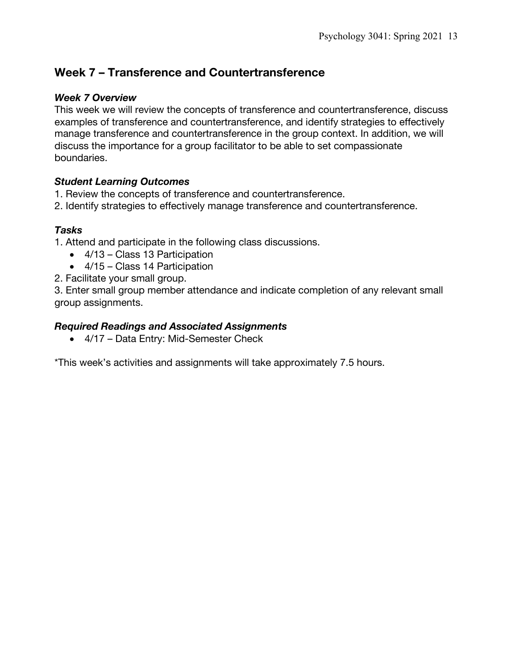## **Week 7 – Transference and Countertransference**

#### *Week 7 Overview*

This week we will review the concepts of transference and countertransference, discuss examples of transference and countertransference, and identify strategies to effectively manage transference and countertransference in the group context. In addition, we will discuss the importance for a group facilitator to be able to set compassionate boundaries.

#### *Student Learning Outcomes*

- 1. Review the concepts of transference and countertransference.
- 2. Identify strategies to effectively manage transference and countertransference.

#### *Tasks*

- 1. Attend and participate in the following class discussions.
	- 4/13 Class 13 Participation
	- 4/15 Class 14 Participation
- 2. Facilitate your small group.

3. Enter small group member attendance and indicate completion of any relevant small group assignments.

#### *Required Readings and Associated Assignments*

• 4/17 – Data Entry: Mid-Semester Check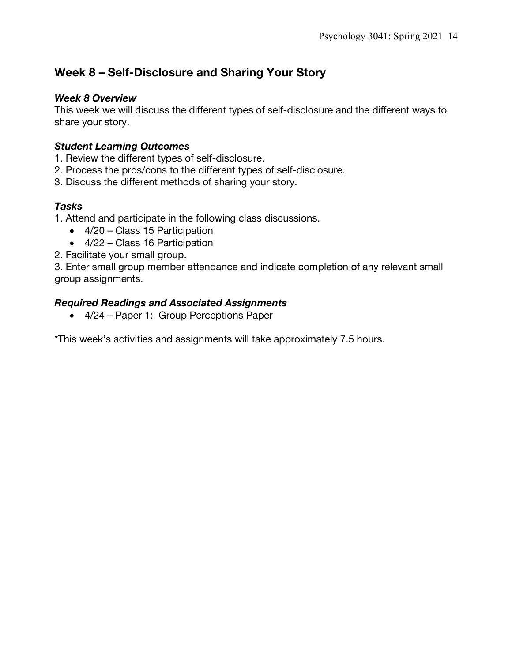# **Week 8 – Self-Disclosure and Sharing Your Story**

#### *Week 8 Overview*

This week we will discuss the different types of self-disclosure and the different ways to share your story.

### *Student Learning Outcomes*

- 1. Review the different types of self-disclosure.
- 2. Process the pros/cons to the different types of self-disclosure.
- 3. Discuss the different methods of sharing your story.

## *Tasks*

- 1. Attend and participate in the following class discussions.
	- 4/20 Class 15 Participation
	- 4/22 Class 16 Participation
- 2. Facilitate your small group.

3. Enter small group member attendance and indicate completion of any relevant small group assignments.

#### *Required Readings and Associated Assignments*

• 4/24 – Paper 1: Group Perceptions Paper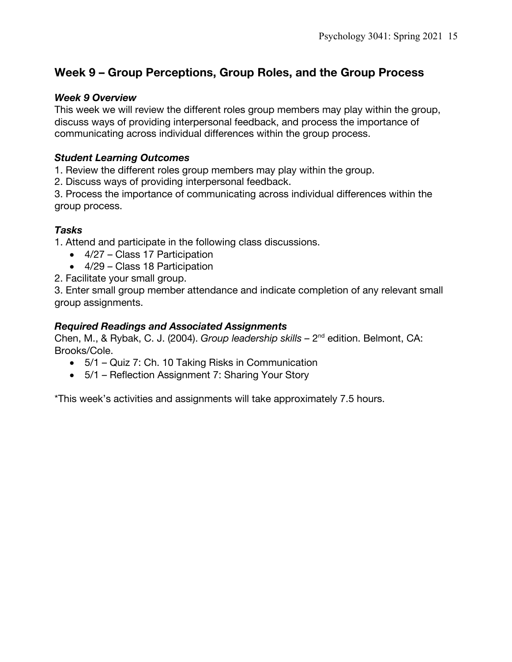# **Week 9 – Group Perceptions, Group Roles, and the Group Process**

#### *Week 9 Overview*

This week we will review the different roles group members may play within the group, discuss ways of providing interpersonal feedback, and process the importance of communicating across individual differences within the group process.

#### *Student Learning Outcomes*

1. Review the different roles group members may play within the group.

2. Discuss ways of providing interpersonal feedback.

3. Process the importance of communicating across individual differences within the group process.

#### *Tasks*

1. Attend and participate in the following class discussions.

- 4/27 Class 17 Participation
- 4/29 Class 18 Participation
- 2. Facilitate your small group.

3. Enter small group member attendance and indicate completion of any relevant small group assignments.

#### *Required Readings and Associated Assignments*

Chen, M., & Rybak, C. J. (2004). *Group leadership skills –* 2nd edition. Belmont, CA: Brooks/Cole.

- 5/1 Quiz 7: Ch. 10 Taking Risks in Communication
- 5/1 Reflection Assignment 7: Sharing Your Story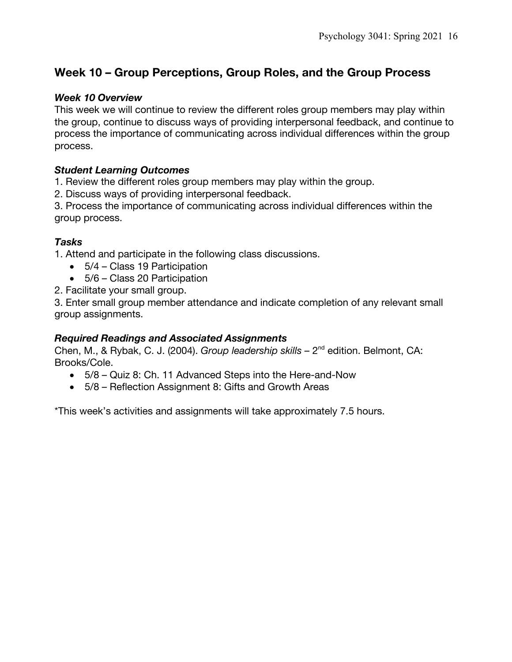# **Week 10 – Group Perceptions, Group Roles, and the Group Process**

#### *Week 10 Overview*

This week we will continue to review the different roles group members may play within the group, continue to discuss ways of providing interpersonal feedback, and continue to process the importance of communicating across individual differences within the group process.

#### *Student Learning Outcomes*

1. Review the different roles group members may play within the group.

2. Discuss ways of providing interpersonal feedback.

3. Process the importance of communicating across individual differences within the group process.

#### *Tasks*

1. Attend and participate in the following class discussions.

- 5/4 Class 19 Participation
- 5/6 Class 20 Participation
- 2. Facilitate your small group.

3. Enter small group member attendance and indicate completion of any relevant small group assignments.

#### *Required Readings and Associated Assignments*

Chen, M., & Rybak, C. J. (2004). *Group leadership skills –* 2nd edition. Belmont, CA: Brooks/Cole.

- 5/8 Quiz 8: Ch. 11 Advanced Steps into the Here-and-Now
- 5/8 Reflection Assignment 8: Gifts and Growth Areas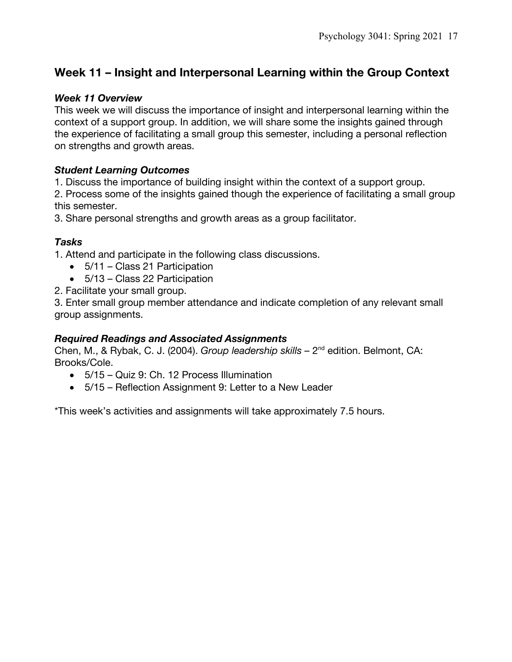# **Week 11 – Insight and Interpersonal Learning within the Group Context**

#### *Week 11 Overview*

This week we will discuss the importance of insight and interpersonal learning within the context of a support group. In addition, we will share some the insights gained through the experience of facilitating a small group this semester, including a personal reflection on strengths and growth areas.

#### *Student Learning Outcomes*

1. Discuss the importance of building insight within the context of a support group.

2. Process some of the insights gained though the experience of facilitating a small group this semester.

3. Share personal strengths and growth areas as a group facilitator.

#### *Tasks*

1. Attend and participate in the following class discussions.

- 5/11 Class 21 Participation
- 5/13 Class 22 Participation
- 2. Facilitate your small group.

3. Enter small group member attendance and indicate completion of any relevant small group assignments.

#### *Required Readings and Associated Assignments*

Chen, M., & Rybak, C. J. (2004). *Group leadership skills –* 2nd edition. Belmont, CA: Brooks/Cole.

- 5/15 Quiz 9: Ch. 12 Process Illumination
- 5/15 Reflection Assignment 9: Letter to a New Leader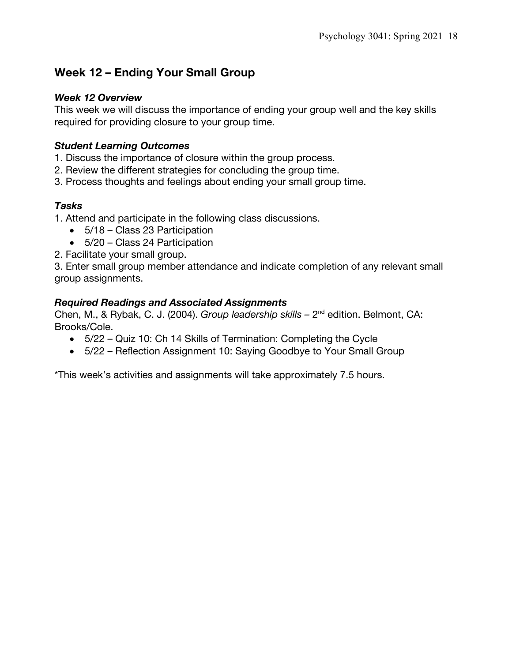# **Week 12 – Ending Your Small Group**

#### *Week 12 Overview*

This week we will discuss the importance of ending your group well and the key skills required for providing closure to your group time.

## *Student Learning Outcomes*

- 1. Discuss the importance of closure within the group process.
- 2. Review the different strategies for concluding the group time.
- 3. Process thoughts and feelings about ending your small group time.

## *Tasks*

- 1. Attend and participate in the following class discussions.
	- 5/18 Class 23 Participation
	- 5/20 Class 24 Participation
- 2. Facilitate your small group.

3. Enter small group member attendance and indicate completion of any relevant small group assignments.

#### *Required Readings and Associated Assignments*

Chen, M., & Rybak, C. J. (2004). *Group leadership skills –* 2nd edition. Belmont, CA: Brooks/Cole.

- 5/22 Quiz 10: Ch 14 Skills of Termination: Completing the Cycle
- 5/22 Reflection Assignment 10: Saying Goodbye to Your Small Group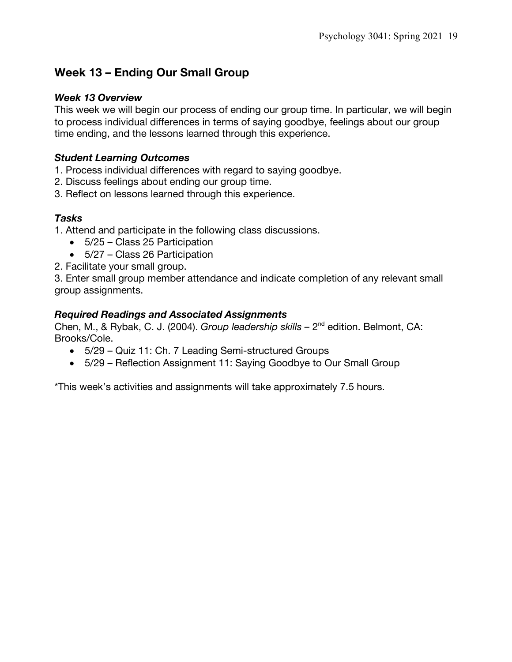# **Week 13 – Ending Our Small Group**

#### *Week 13 Overview*

This week we will begin our process of ending our group time. In particular, we will begin to process individual differences in terms of saying goodbye, feelings about our group time ending, and the lessons learned through this experience.

#### *Student Learning Outcomes*

1. Process individual differences with regard to saying goodbye.

- 2. Discuss feelings about ending our group time.
- 3. Reflect on lessons learned through this experience.

#### *Tasks*

1. Attend and participate in the following class discussions.

- 5/25 Class 25 Participation
- 5/27 Class 26 Participation

2. Facilitate your small group.

3. Enter small group member attendance and indicate completion of any relevant small group assignments.

#### *Required Readings and Associated Assignments*

Chen, M., & Rybak, C. J. (2004). *Group leadership skills –* 2nd edition. Belmont, CA: Brooks/Cole.

- 5/29 Quiz 11: Ch. 7 Leading Semi-structured Groups
- 5/29 Reflection Assignment 11: Saying Goodbye to Our Small Group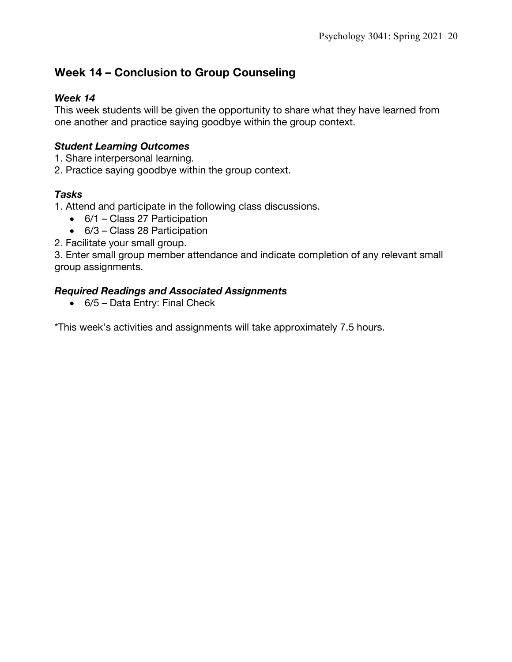# **Week 14 – Conclusion to Group Counseling**

#### *Week 14*

This week students will be given the opportunity to share what they have learned from one another and practice saying goodbye within the group context.

### *Student Learning Outcomes*

- 1. Share interpersonal learning.
- 2. Practice saying goodbye within the group context.

#### *Tasks*

1. Attend and participate in the following class discussions.

- 6/1 Class 27 Participation
- 6/3 Class 28 Participation
- 2. Facilitate your small group.

3. Enter small group member attendance and indicate completion of any relevant small group assignments.

#### *Required Readings and Associated Assignments*

• 6/5 – Data Entry: Final Check